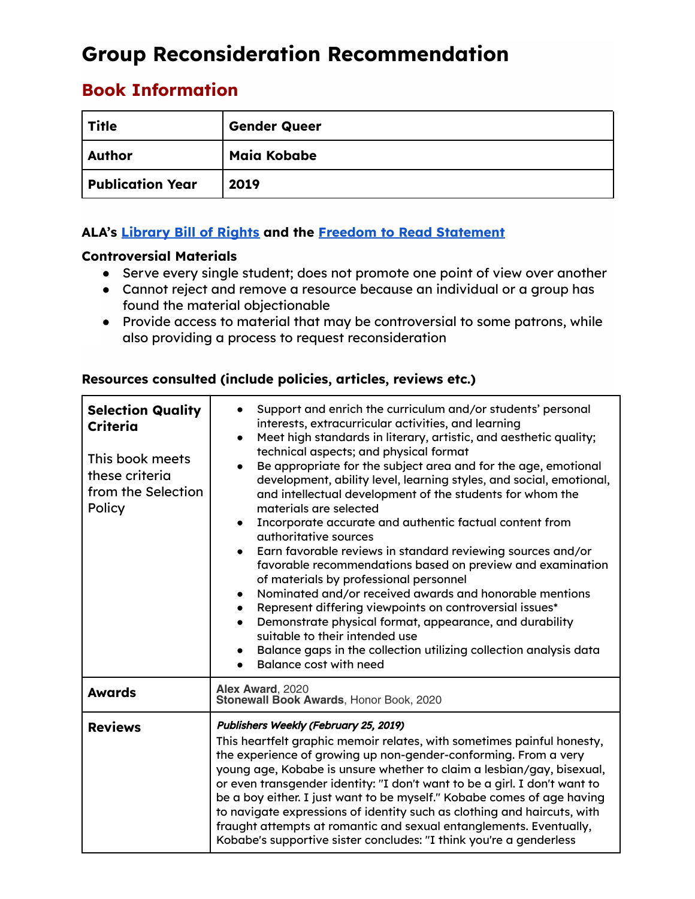# **Group Reconsideration Recommendation**

# **Book Information**

| <b>Title</b>            | <b>Gender Queer</b> |
|-------------------------|---------------------|
| Author                  | Maia Kobabe         |
| <b>Publication Year</b> | 2019                |

# **ALA's [Library](https://www.ala.org/advocacy/intfreedom/librarybill) Bill of Rights and the Freedom to Read [Statement](https://www.ala.org/advocacy/intfreedom/freedomreadstatement)**

### **Controversial Materials**

- Serve every single student; does not promote one point of view over another
- Cannot reject and remove a resource because an individual or a group has found the material objectionable
- Provide access to material that may be controversial to some patrons, while also providing a process to request reconsideration

| <b>Selection Quality</b><br>Criteria<br>This book meets<br>these criteria<br>from the Selection<br>Policy | Support and enrich the curriculum and/or students' personal<br>interests, extracurricular activities, and learning<br>Meet high standards in literary, artistic, and aesthetic quality;<br>$\bullet$<br>technical aspects; and physical format<br>Be appropriate for the subject area and for the age, emotional<br>development, ability level, learning styles, and social, emotional,<br>and intellectual development of the students for whom the<br>materials are selected<br>Incorporate accurate and authentic factual content from<br>$\bullet$<br>authoritative sources<br>Earn favorable reviews in standard reviewing sources and/or<br>favorable recommendations based on preview and examination<br>of materials by professional personnel<br>Nominated and/or received awards and honorable mentions<br>Represent differing viewpoints on controversial issues*<br>$\bullet$<br>Demonstrate physical format, appearance, and durability<br>$\bullet$<br>suitable to their intended use<br>Balance gaps in the collection utilizing collection analysis data<br><b>Balance cost with need</b> |  |
|-----------------------------------------------------------------------------------------------------------|-----------------------------------------------------------------------------------------------------------------------------------------------------------------------------------------------------------------------------------------------------------------------------------------------------------------------------------------------------------------------------------------------------------------------------------------------------------------------------------------------------------------------------------------------------------------------------------------------------------------------------------------------------------------------------------------------------------------------------------------------------------------------------------------------------------------------------------------------------------------------------------------------------------------------------------------------------------------------------------------------------------------------------------------------------------------------------------------------------------|--|
| <b>Awards</b>                                                                                             | Alex Award, 2020<br>Stonewall Book Awards, Honor Book, 2020                                                                                                                                                                                                                                                                                                                                                                                                                                                                                                                                                                                                                                                                                                                                                                                                                                                                                                                                                                                                                                               |  |
| <b>Reviews</b>                                                                                            | Publishers Weekly (February 25, 2019)<br>This heartfelt graphic memoir relates, with sometimes painful honesty,<br>the experience of growing up non-gender-conforming. From a very<br>young age, Kobabe is unsure whether to claim a lesbian/gay, bisexual,<br>or even transgender identity: "I don't want to be a girl. I don't want to<br>be a boy either. I just want to be myself." Kobabe comes of age having<br>to navigate expressions of identity such as clothing and haircuts, with<br>fraught attempts at romantic and sexual entanglements. Eventually,<br>Kobabe's supportive sister concludes: "I think you're a genderless                                                                                                                                                                                                                                                                                                                                                                                                                                                                 |  |

# **Resources consulted (include policies, articles, reviews etc.)**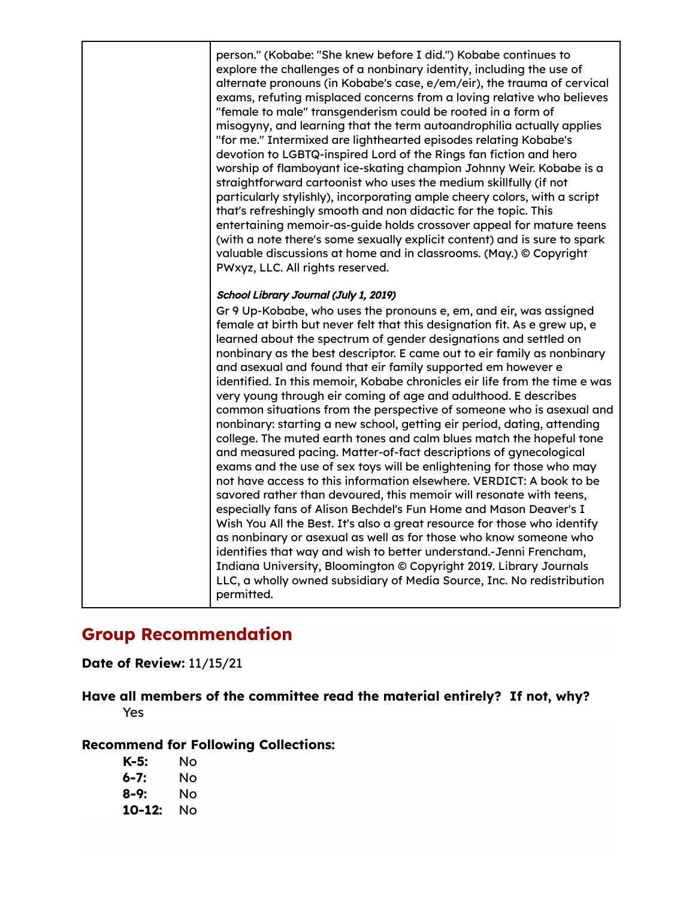person." (Kobabe: "She knew before I did.") Kobabe continues to explore the challenges of a nonbinary identity, including the use of alternate pronouns (in Kobabe's case, e/em/eir), the trauma of cervical exams, refuting misplaced concerns from a loving relative who believes "female to male" transgenderism could be rooted in a form of misogyny, and learning that the term autoandrophilia actually applies "for me." Intermixed are lighthearted episodes relating Kobabe's devotion to LGBTQ-inspired Lord of the Rings fan fiction and hero worship of flamboyant ice-skating champion Johnny Weir. Kobabe is a straightforward cartoonist who uses the medium skillfully (if not particularly stylishly), incorporating ample cheery colors, with a script that's refreshingly smooth and non didactic for the topic. This entertaining memoir-as-guide holds crossover appeal for mature teens (with a note there's some sexually explicit content) and is sure to spark valuable discussions at home and in classrooms. (May.) © Copyright PWxyz, LLC. All rights reserved.

#### School Library Journal (July 1, 2019)

Gr 9 Up-Kobabe, who uses the pronouns e, em, and eir, was assigned female at birth but never felt that this designation fit. As e grew up, e learned about the spectrum of gender designations and settled on nonbinary as the best descriptor. E came out to eir family as nonbinary and asexual and found that eir family supported em however e identified. In this memoir, Kobabe chronicles eir life from the time e was very young through eir coming of age and adulthood. E describes common situations from the perspective of someone who is asexual and nonbinary: starting a new school, getting eir period, dating, attending college. The muted earth tones and calm blues match the hopeful tone and measured pacing. Matter-of-fact descriptions of gynecological exams and the use of sex toys will be enlightening for those who may not have access to this information elsewhere. VERDICT: A book to be savored rather than devoured, this memoir will resonate with teens, especially fans of Alison Bechdel's Fun Home and Mason Deaver's I Wish You All the Best. It's also a great resource for those who identify as nonbinary or asexual as well as for those who know someone who identifies that way and wish to better understand.-Jenni Frencham, Indiana University, Bloomington © Copyright 2019. Library Journals LLC, a wholly owned subsidiary of Media Source, Inc. No redistribution permitted.

# **Group Recommendation**

### **Date of Review:** 11/15/21

**Have all members of the committee read the material entirely? If not, why?** Yes

#### **Recommend for Following Collections:**

| K-5:   | Nο |
|--------|----|
| 6-7:   | Nο |
| 8-9:   | Nο |
| 10-12: | Nο |